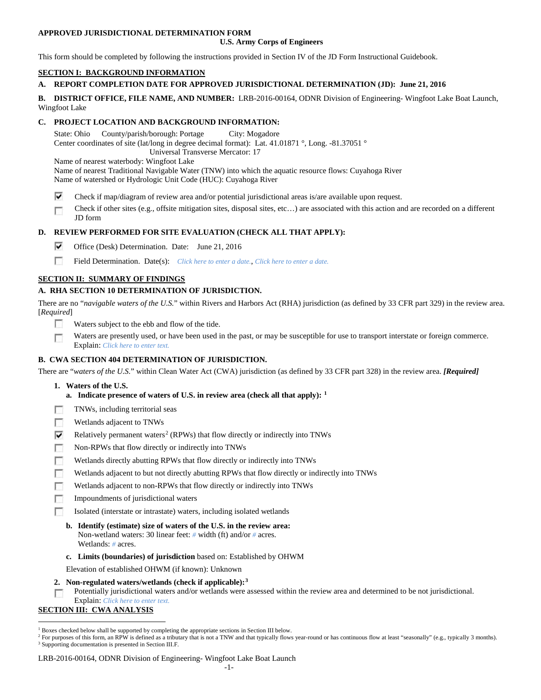## **APPROVED JURISDICTIONAL DETERMINATION FORM**

### **U.S. Army Corps of Engineers**

This form should be completed by following the instructions provided in Section IV of the JD Form Instructional Guidebook.

## **SECTION I: BACKGROUND INFORMATION**

# **A. REPORT COMPLETION DATE FOR APPROVED JURISDICTIONAL DETERMINATION (JD): June 21, 2016**

**B. DISTRICT OFFICE, FILE NAME, AND NUMBER:** LRB-2016-00164, ODNR Division of Engineering- Wingfoot Lake Boat Launch, Wingfoot Lake

# **C. PROJECT LOCATION AND BACKGROUND INFORMATION:**

State: Ohio County/parish/borough: Portage City: Mogadore Center coordinates of site (lat/long in degree decimal format): Lat. 41.01871 °, Long. -81.37051 ° Universal Transverse Mercator: 17 Name of nearest waterbody: Wingfoot Lake

Name of nearest Traditional Navigable Water (TNW) into which the aquatic resource flows: Cuyahoga River

Name of watershed or Hydrologic Unit Code (HUC): Cuyahoga River

- ⊽ Check if map/diagram of review area and/or potential jurisdictional areas is/are available upon request.
- Check if other sites (e.g., offsite mitigation sites, disposal sites, etc…) are associated with this action and are recorded on a different г JD form

# **D. REVIEW PERFORMED FOR SITE EVALUATION (CHECK ALL THAT APPLY):**

- ⊽ Office (Desk) Determination. Date: June 21, 2016
- п Field Determination. Date(s): *Click here to enter a date.*, *Click here to enter a date.*

# **SECTION II: SUMMARY OF FINDINGS**

# **A. RHA SECTION 10 DETERMINATION OF JURISDICTION.**

There are no "*navigable waters of the U.S.*" within Rivers and Harbors Act (RHA) jurisdiction (as defined by 33 CFR part 329) in the review area. [*Required*]

- n Waters subject to the ebb and flow of the tide.
- Waters are presently used, or have been used in the past, or may be susceptible for use to transport interstate or foreign commerce. Г Explain: *Click here to enter text.*

## **B. CWA SECTION 404 DETERMINATION OF JURISDICTION.**

There are "*waters of the U.S.*" within Clean Water Act (CWA) jurisdiction (as defined by 33 CFR part 328) in the review area. *[Required]*

- **1. Waters of the U.S.**
	- **a. Indicate presence of waters of U.S. in review area (check all that apply): [1](#page-0-0)**
- TNWs, including territorial seas г
- Wetlands adjacent to TNWs п
- ⊽ Relatively permanent waters<sup>[2](#page-0-1)</sup> (RPWs) that flow directly or indirectly into TNWs
- г Non-RPWs that flow directly or indirectly into TNWs
- Wetlands directly abutting RPWs that flow directly or indirectly into TNWs п
- Wetlands adjacent to but not directly abutting RPWs that flow directly or indirectly into TNWs
- г Wetlands adjacent to non-RPWs that flow directly or indirectly into TNWs
- п Impoundments of jurisdictional waters
- п Isolated (interstate or intrastate) waters, including isolated wetlands
	- **b. Identify (estimate) size of waters of the U.S. in the review area:** Non-wetland waters: 30 linear feet: *#* width (ft) and/or *#* acres. Wetlands: *#* acres.
	- **c. Limits (boundaries) of jurisdiction** based on: Established by OHWM
	- Elevation of established OHWM (if known): Unknown
- **2. Non-regulated waters/wetlands (check if applicable):[3](#page-0-2)**

Potentially jurisdictional waters and/or wetlands were assessed within the review area and determined to be not jurisdictional. Explain: *Click here to enter text.*

# **SECTION III: CWA ANALYSIS**

<span id="page-0-0"></span> <sup>1</sup> Boxes checked below shall be supported by completing the appropriate sections in Section III below.

<span id="page-0-2"></span><span id="page-0-1"></span><sup>&</sup>lt;sup>2</sup> For purposes of this form, an RPW is defined as a tributary that is not a TNW and that typically flows year-round or has continuous flow at least "seasonally" (e.g., typically 3 months). <sup>3</sup> Supporting documentation is presented in Section III.F.

LRB-2016-00164, ODNR Division of Engineering- Wingfoot Lake Boat Launch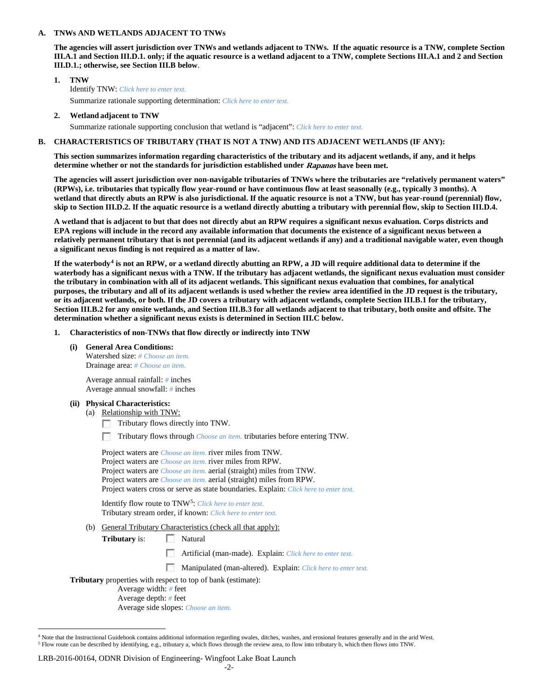#### **A. TNWs AND WETLANDS ADJACENT TO TNWs**

**The agencies will assert jurisdiction over TNWs and wetlands adjacent to TNWs. If the aquatic resource is a TNW, complete Section III.A.1 and Section III.D.1. only; if the aquatic resource is a wetland adjacent to a TNW, complete Sections III.A.1 and 2 and Section III.D.1.; otherwise, see Section III.B below**.

- **1. TNW**  Identify TNW: *Click here to enter text.* Summarize rationale supporting determination: *Click here to enter text.*
- **2. Wetland adjacent to TNW**

Summarize rationale supporting conclusion that wetland is "adjacent": *Click here to enter text.*

### **B. CHARACTERISTICS OF TRIBUTARY (THAT IS NOT A TNW) AND ITS ADJACENT WETLANDS (IF ANY):**

**This section summarizes information regarding characteristics of the tributary and its adjacent wetlands, if any, and it helps determine whether or not the standards for jurisdiction established under Rapanos have been met.** 

**The agencies will assert jurisdiction over non-navigable tributaries of TNWs where the tributaries are "relatively permanent waters" (RPWs), i.e. tributaries that typically flow year-round or have continuous flow at least seasonally (e.g., typically 3 months). A wetland that directly abuts an RPW is also jurisdictional. If the aquatic resource is not a TNW, but has year-round (perennial) flow, skip to Section III.D.2. If the aquatic resource is a wetland directly abutting a tributary with perennial flow, skip to Section III.D.4.**

**A wetland that is adjacent to but that does not directly abut an RPW requires a significant nexus evaluation. Corps districts and EPA regions will include in the record any available information that documents the existence of a significant nexus between a relatively permanent tributary that is not perennial (and its adjacent wetlands if any) and a traditional navigable water, even though a significant nexus finding is not required as a matter of law.**

**If the waterbody[4](#page-1-0) is not an RPW, or a wetland directly abutting an RPW, a JD will require additional data to determine if the waterbody has a significant nexus with a TNW. If the tributary has adjacent wetlands, the significant nexus evaluation must consider the tributary in combination with all of its adjacent wetlands. This significant nexus evaluation that combines, for analytical purposes, the tributary and all of its adjacent wetlands is used whether the review area identified in the JD request is the tributary, or its adjacent wetlands, or both. If the JD covers a tributary with adjacent wetlands, complete Section III.B.1 for the tributary, Section III.B.2 for any onsite wetlands, and Section III.B.3 for all wetlands adjacent to that tributary, both onsite and offsite. The determination whether a significant nexus exists is determined in Section III.C below.**

- **1. Characteristics of non-TNWs that flow directly or indirectly into TNW**
	- **(i) General Area Conditions:** Watershed size: *# Choose an item.* Drainage area: *# Choose an item.*

Average annual rainfall: *#* inches Average annual snowfall: *#* inches

- **(ii) Physical Characteristics:**
	- (a) Relationship with TNW:
		- **1999** Tributary flows directly into TNW.
		- Tributary flows through *Choose an item.* tributaries before entering TNW.

| Project waters are <i>Choose an item</i> , river miles from TNW.                      |
|---------------------------------------------------------------------------------------|
| Project waters are <i>Choose an item</i> , river miles from RPW.                      |
| Project waters are <i>Choose an item.</i> aerial (straight) miles from TNW.           |
| Project waters are <i>Choose an item.</i> aerial (straight) miles from RPW.           |
| Project waters cross or serve as state boundaries. Explain: Click here to enter text. |
|                                                                                       |

Identify flow route to TNW[5:](#page-1-1) *Click here to enter text.* Tributary stream order, if known: *Click here to enter text.*

(b) General Tributary Characteristics (check all that apply):

**Tributary** is: Natural

- $\sim$ Artificial (man-made). Explain: *Click here to enter text.*
- Manipulated (man-altered). Explain: *Click here to enter text.*

**Tributary** properties with respect to top of bank (estimate):

Average width: *#* feet Average depth: *#* feet

Average side slopes: *Choose an item.*

<span id="page-1-1"></span><span id="page-1-0"></span><sup>&</sup>lt;sup>4</sup> Note that the Instructional Guidebook contains additional information regarding swales, ditches, washes, and erosional features generally and in the arid West. <sup>5</sup> Flow route can be described by identifying, e.g., tributary a, which flows through the review area, to flow into tributary b, which then flows into TNW.

LRB-2016-00164, ODNR Division of Engineering- Wingfoot Lake Boat Launch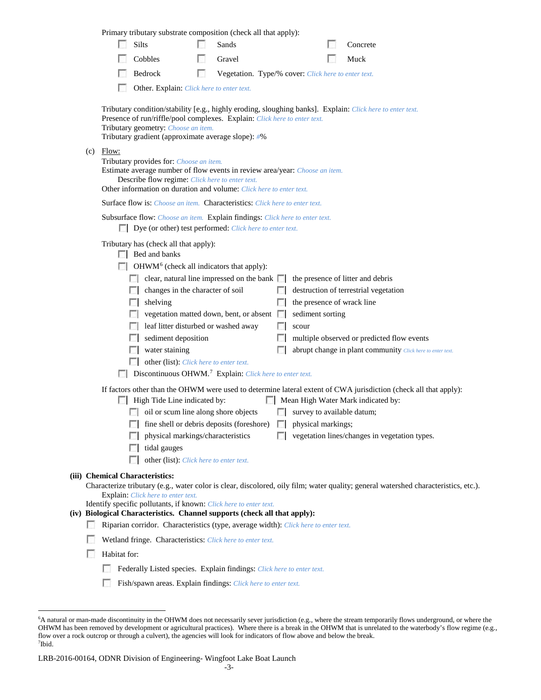|                                                                                                                                                                                                                                                                                                                                                                                                                    |                                                                                                                                                                                                                                                                  |                                                                                                                                                                                                                                                                                     | Primary tributary substrate composition (check all that apply):            |   |                                                     |  |                                   |  |                                                                                                                                                        |  |
|--------------------------------------------------------------------------------------------------------------------------------------------------------------------------------------------------------------------------------------------------------------------------------------------------------------------------------------------------------------------------------------------------------------------|------------------------------------------------------------------------------------------------------------------------------------------------------------------------------------------------------------------------------------------------------------------|-------------------------------------------------------------------------------------------------------------------------------------------------------------------------------------------------------------------------------------------------------------------------------------|----------------------------------------------------------------------------|---|-----------------------------------------------------|--|-----------------------------------|--|--------------------------------------------------------------------------------------------------------------------------------------------------------|--|
|                                                                                                                                                                                                                                                                                                                                                                                                                    |                                                                                                                                                                                                                                                                  |                                                                                                                                                                                                                                                                                     | Silts                                                                      |   | Sands                                               |  |                                   |  | Concrete                                                                                                                                               |  |
|                                                                                                                                                                                                                                                                                                                                                                                                                    |                                                                                                                                                                                                                                                                  |                                                                                                                                                                                                                                                                                     | Cobbles                                                                    |   | Gravel                                              |  |                                   |  | Muck                                                                                                                                                   |  |
|                                                                                                                                                                                                                                                                                                                                                                                                                    |                                                                                                                                                                                                                                                                  |                                                                                                                                                                                                                                                                                     | Bedrock                                                                    | П | Vegetation. Type/% cover: Click here to enter text. |  |                                   |  |                                                                                                                                                        |  |
|                                                                                                                                                                                                                                                                                                                                                                                                                    |                                                                                                                                                                                                                                                                  |                                                                                                                                                                                                                                                                                     | Other. Explain: Click here to enter text.                                  |   |                                                     |  |                                   |  |                                                                                                                                                        |  |
|                                                                                                                                                                                                                                                                                                                                                                                                                    |                                                                                                                                                                                                                                                                  | Tributary condition/stability [e.g., highly eroding, sloughing banks]. Explain: Click here to enter text.<br>Presence of run/riffle/pool complexes. Explain: Click here to enter text.<br>Tributary geometry: Choose an item.<br>Tributary gradient (approximate average slope): #% |                                                                            |   |                                                     |  |                                   |  |                                                                                                                                                        |  |
|                                                                                                                                                                                                                                                                                                                                                                                                                    | Flow:<br>(c)<br>Tributary provides for: Choose an item.<br>Estimate average number of flow events in review area/year: Choose an item.<br>Describe flow regime: Click here to enter text.<br>Other information on duration and volume: Click here to enter text. |                                                                                                                                                                                                                                                                                     |                                                                            |   |                                                     |  |                                   |  |                                                                                                                                                        |  |
|                                                                                                                                                                                                                                                                                                                                                                                                                    | Surface flow is: Choose an item. Characteristics: Click here to enter text.                                                                                                                                                                                      |                                                                                                                                                                                                                                                                                     |                                                                            |   |                                                     |  |                                   |  |                                                                                                                                                        |  |
|                                                                                                                                                                                                                                                                                                                                                                                                                    | Subsurface flow: Choose an item. Explain findings: Click here to enter text.<br>Dye (or other) test performed: Click here to enter text.                                                                                                                         |                                                                                                                                                                                                                                                                                     |                                                                            |   |                                                     |  |                                   |  |                                                                                                                                                        |  |
| Tributary has (check all that apply):<br>$\Box$ Bed and banks<br>OHWM <sup>6</sup> (check all indicators that apply):<br>$\Box$ clear, natural line impressed on the bank $\Box$<br>the presence of litter and debris<br>changes in the character of soil<br>destruction of terrestrial vegetation<br>. .<br>the presence of wrack line<br>shelving<br>vegetation matted down, bent, or absent<br>sediment sorting |                                                                                                                                                                                                                                                                  |                                                                                                                                                                                                                                                                                     |                                                                            |   |                                                     |  |                                   |  |                                                                                                                                                        |  |
|                                                                                                                                                                                                                                                                                                                                                                                                                    |                                                                                                                                                                                                                                                                  |                                                                                                                                                                                                                                                                                     | leaf litter disturbed or washed away                                       |   |                                                     |  | scour                             |  |                                                                                                                                                        |  |
|                                                                                                                                                                                                                                                                                                                                                                                                                    |                                                                                                                                                                                                                                                                  |                                                                                                                                                                                                                                                                                     | sediment deposition                                                        |   |                                                     |  |                                   |  | multiple observed or predicted flow events                                                                                                             |  |
|                                                                                                                                                                                                                                                                                                                                                                                                                    |                                                                                                                                                                                                                                                                  |                                                                                                                                                                                                                                                                                     | water staining                                                             |   |                                                     |  |                                   |  | abrupt change in plant community Click here to enter text.                                                                                             |  |
|                                                                                                                                                                                                                                                                                                                                                                                                                    |                                                                                                                                                                                                                                                                  |                                                                                                                                                                                                                                                                                     | other (list): Click here to enter text.                                    |   |                                                     |  |                                   |  |                                                                                                                                                        |  |
| Discontinuous OHWM. <sup>7</sup> Explain: Click here to enter text.                                                                                                                                                                                                                                                                                                                                                |                                                                                                                                                                                                                                                                  |                                                                                                                                                                                                                                                                                     |                                                                            |   |                                                     |  |                                   |  |                                                                                                                                                        |  |
|                                                                                                                                                                                                                                                                                                                                                                                                                    |                                                                                                                                                                                                                                                                  |                                                                                                                                                                                                                                                                                     | High Tide Line indicated by:                                               |   |                                                     |  |                                   |  | If factors other than the OHWM were used to determine lateral extent of CWA jurisdiction (check all that apply):<br>Mean High Water Mark indicated by: |  |
|                                                                                                                                                                                                                                                                                                                                                                                                                    |                                                                                                                                                                                                                                                                  |                                                                                                                                                                                                                                                                                     | oil or scum line along shore objects                                       |   |                                                     |  | $\Box$ survey to available datum; |  |                                                                                                                                                        |  |
|                                                                                                                                                                                                                                                                                                                                                                                                                    |                                                                                                                                                                                                                                                                  |                                                                                                                                                                                                                                                                                     | $\Box$ fine shell or debris deposits (foreshore) $\Box$ physical markings; |   |                                                     |  |                                   |  |                                                                                                                                                        |  |
|                                                                                                                                                                                                                                                                                                                                                                                                                    |                                                                                                                                                                                                                                                                  |                                                                                                                                                                                                                                                                                     | physical markings/characteristics                                          |   |                                                     |  |                                   |  | vegetation lines/changes in vegetation types.                                                                                                          |  |
|                                                                                                                                                                                                                                                                                                                                                                                                                    |                                                                                                                                                                                                                                                                  |                                                                                                                                                                                                                                                                                     | tidal gauges                                                               |   |                                                     |  |                                   |  |                                                                                                                                                        |  |
|                                                                                                                                                                                                                                                                                                                                                                                                                    |                                                                                                                                                                                                                                                                  |                                                                                                                                                                                                                                                                                     | other (list): Click here to enter text.<br>L.                              |   |                                                     |  |                                   |  |                                                                                                                                                        |  |
|                                                                                                                                                                                                                                                                                                                                                                                                                    |                                                                                                                                                                                                                                                                  |                                                                                                                                                                                                                                                                                     | (iii) Chemical Characteristics:                                            |   |                                                     |  |                                   |  | Characterize tributary (e.g., water color is clear, discolored, oily film; water quality; general watershed characteristics, etc.).                    |  |
|                                                                                                                                                                                                                                                                                                                                                                                                                    |                                                                                                                                                                                                                                                                  |                                                                                                                                                                                                                                                                                     | <b>Explain:</b> Click here to enter text.                                  |   |                                                     |  |                                   |  |                                                                                                                                                        |  |
|                                                                                                                                                                                                                                                                                                                                                                                                                    |                                                                                                                                                                                                                                                                  |                                                                                                                                                                                                                                                                                     | Identify specific pollutants, if known: Click here to enter text.          |   |                                                     |  |                                   |  |                                                                                                                                                        |  |
|                                                                                                                                                                                                                                                                                                                                                                                                                    | (iv) Biological Characteristics. Channel supports (check all that apply):<br>Riparian corridor. Characteristics (type, average width): Click here to enter text.                                                                                                 |                                                                                                                                                                                                                                                                                     |                                                                            |   |                                                     |  |                                   |  |                                                                                                                                                        |  |
|                                                                                                                                                                                                                                                                                                                                                                                                                    |                                                                                                                                                                                                                                                                  | Wetland fringe. Characteristics: Click here to enter text.                                                                                                                                                                                                                          |                                                                            |   |                                                     |  |                                   |  |                                                                                                                                                        |  |
|                                                                                                                                                                                                                                                                                                                                                                                                                    |                                                                                                                                                                                                                                                                  | Habitat for:                                                                                                                                                                                                                                                                        |                                                                            |   |                                                     |  |                                   |  |                                                                                                                                                        |  |
|                                                                                                                                                                                                                                                                                                                                                                                                                    |                                                                                                                                                                                                                                                                  | u                                                                                                                                                                                                                                                                                   | Federally Listed species. Explain findings: Click here to enter text.      |   |                                                     |  |                                   |  |                                                                                                                                                        |  |
|                                                                                                                                                                                                                                                                                                                                                                                                                    |                                                                                                                                                                                                                                                                  |                                                                                                                                                                                                                                                                                     | Fish/spawn areas. Explain findings: Click here to enter text.              |   |                                                     |  |                                   |  |                                                                                                                                                        |  |

<span id="page-2-0"></span> <sup>6</sup> <sup>6</sup>A natural or man-made discontinuity in the OHWM does not necessarily sever jurisdiction (e.g., where the stream temporarily flows underground, or where the OHWM has been removed by development or agricultural practices). Where there is a break in the OHWM that is unrelated to the waterbody's flow regime (e.g., flow over a rock outcrop or through a culvert), the agencies will look for indicators of flow above and below the break. 7 Ibid.

<span id="page-2-1"></span>LRB-2016-00164, ODNR Division of Engineering- Wingfoot Lake Boat Launch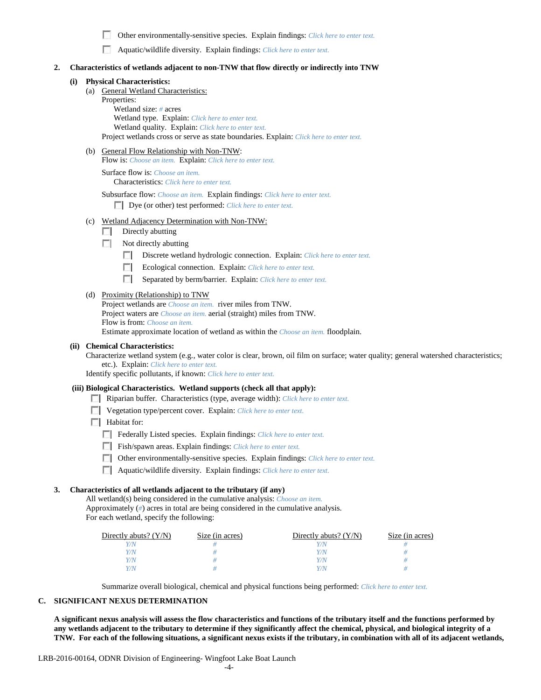п Other environmentally-sensitive species. Explain findings: *Click here to enter text.*

Aquatic/wildlife diversity. Explain findings: *Click here to enter text.*

#### **2. Characteristics of wetlands adjacent to non-TNW that flow directly or indirectly into TNW**

### **(i) Physical Characteristics:**

- (a) General Wetland Characteristics:
	- Properties:

Wetland size: *#* acres Wetland type. Explain: *Click here to enter text.* Wetland quality. Explain: *Click here to enter text.* Project wetlands cross or serve as state boundaries. Explain: *Click here to enter text.*

(b) General Flow Relationship with Non-TNW:

Flow is: *Choose an item.* Explain: *Click here to enter text.*

Surface flow is: *Choose an item.* Characteristics: *Click here to enter text.*

Subsurface flow: *Choose an item.* Explain findings: *Click here to enter text.*

Dye (or other) test performed: *Click here to enter text.*

- (c) Wetland Adjacency Determination with Non-TNW:
	- $\Box$  Directly abutting
	- $\Box$  Not directly abutting
		- **1999** Discrete wetland hydrologic connection. Explain: *Click here to enter text.*
		- **The Contract of the Contract of the Contract of the Contract of the Contract of the Contract of the Contract of the Contract of the Contract of the Contract of the Contract of the Contract of the Contract of the Contract** Ecological connection. Explain: *Click here to enter text.*
		- $\mathcal{L}$ Separated by berm/barrier. Explain: *Click here to enter text.*

#### (d) Proximity (Relationship) to TNW

Project wetlands are *Choose an item.* river miles from TNW. Project waters are *Choose an item.* aerial (straight) miles from TNW. Flow is from: *Choose an item.* Estimate approximate location of wetland as within the *Choose an item.* floodplain.

### **(ii) Chemical Characteristics:**

Characterize wetland system (e.g., water color is clear, brown, oil film on surface; water quality; general watershed characteristics; etc.). Explain: *Click here to enter text.*

Identify specific pollutants, if known: *Click here to enter text.*

#### **(iii) Biological Characteristics. Wetland supports (check all that apply):**

- Riparian buffer. Characteristics (type, average width): *Click here to enter text.*
- Vegetation type/percent cover. Explain: *Click here to enter text.*
- $\Box$  Habitat for:
	- Federally Listed species. Explain findings: *Click here to enter text*.
	- Fish/spawn areas. Explain findings: *Click here to enter text.*
	- Other environmentally-sensitive species. Explain findings: *Click here to enter text.*
	- Aquatic/wildlife diversity. Explain findings: *Click here to enter text.*

### **3. Characteristics of all wetlands adjacent to the tributary (if any)**

All wetland(s) being considered in the cumulative analysis: *Choose an item.* Approximately (*#*) acres in total are being considered in the cumulative analysis. For each wetland, specify the following:

| Directly abuts? $(Y/N)$ | Size (in acres) | Directly abuts? $(Y/N)$ | Size (in acres) |
|-------------------------|-----------------|-------------------------|-----------------|
|                         |                 | 77N                     |                 |
| Y/N.                    |                 | Y/N                     |                 |
| Y/N                     |                 | Y/N                     |                 |
|                         |                 | Y / N                   |                 |

Summarize overall biological, chemical and physical functions being performed: *Click here to enter text.*

#### **C. SIGNIFICANT NEXUS DETERMINATION**

**A significant nexus analysis will assess the flow characteristics and functions of the tributary itself and the functions performed by any wetlands adjacent to the tributary to determine if they significantly affect the chemical, physical, and biological integrity of a TNW. For each of the following situations, a significant nexus exists if the tributary, in combination with all of its adjacent wetlands,**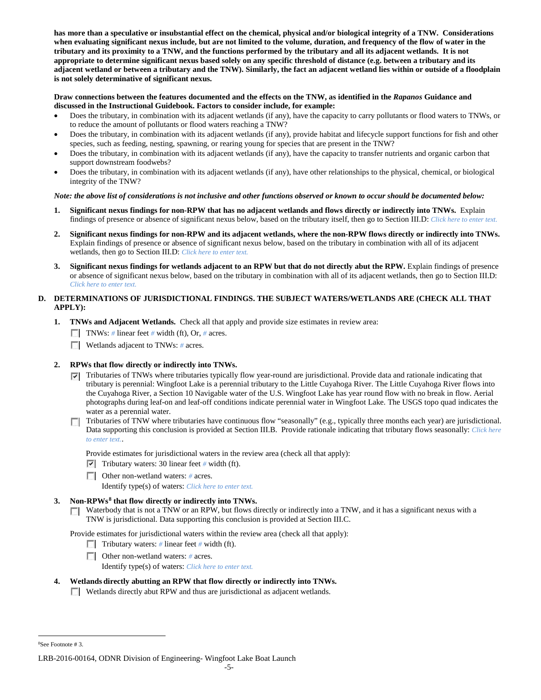**has more than a speculative or insubstantial effect on the chemical, physical and/or biological integrity of a TNW. Considerations when evaluating significant nexus include, but are not limited to the volume, duration, and frequency of the flow of water in the tributary and its proximity to a TNW, and the functions performed by the tributary and all its adjacent wetlands. It is not appropriate to determine significant nexus based solely on any specific threshold of distance (e.g. between a tributary and its adjacent wetland or between a tributary and the TNW). Similarly, the fact an adjacent wetland lies within or outside of a floodplain is not solely determinative of significant nexus.** 

## **Draw connections between the features documented and the effects on the TNW, as identified in the** *Rapanos* **Guidance and discussed in the Instructional Guidebook. Factors to consider include, for example:**

- Does the tributary, in combination with its adjacent wetlands (if any), have the capacity to carry pollutants or flood waters to TNWs, or to reduce the amount of pollutants or flood waters reaching a TNW?
- Does the tributary, in combination with its adjacent wetlands (if any), provide habitat and lifecycle support functions for fish and other species, such as feeding, nesting, spawning, or rearing young for species that are present in the TNW?
- Does the tributary, in combination with its adjacent wetlands (if any), have the capacity to transfer nutrients and organic carbon that support downstream foodwebs?
- Does the tributary, in combination with its adjacent wetlands (if any), have other relationships to the physical, chemical, or biological integrity of the TNW?

## *Note: the above list of considerations is not inclusive and other functions observed or known to occur should be documented below:*

- **1. Significant nexus findings for non-RPW that has no adjacent wetlands and flows directly or indirectly into TNWs.** Explain findings of presence or absence of significant nexus below, based on the tributary itself, then go to Section III.D: *Click here to enter text.*
- **2. Significant nexus findings for non-RPW and its adjacent wetlands, where the non-RPW flows directly or indirectly into TNWs.**  Explain findings of presence or absence of significant nexus below, based on the tributary in combination with all of its adjacent wetlands, then go to Section III.D: *Click here to enter text.*
- **3. Significant nexus findings for wetlands adjacent to an RPW but that do not directly abut the RPW.** Explain findings of presence or absence of significant nexus below, based on the tributary in combination with all of its adjacent wetlands, then go to Section III.D: *Click here to enter text.*

# **D. DETERMINATIONS OF JURISDICTIONAL FINDINGS. THE SUBJECT WATERS/WETLANDS ARE (CHECK ALL THAT APPLY):**

- **1. TNWs and Adjacent Wetlands.** Check all that apply and provide size estimates in review area:
	- TNWs: *#* linear feet *#* width (ft), Or, *#* acres.
	- **Wetlands adjacent to TNWs:** # acres.

# **2. RPWs that flow directly or indirectly into TNWs.**

- $\nabla$  Tributaries of TNWs where tributaries typically flow year-round are jurisdictional. Provide data and rationale indicating that tributary is perennial: Wingfoot Lake is a perennial tributary to the Little Cuyahoga River. The Little Cuyahoga River flows into the Cuyahoga River, a Section 10 Navigable water of the U.S. Wingfoot Lake has year round flow with no break in flow. Aerial photographs during leaf-on and leaf-off conditions indicate perennial water in Wingfoot Lake. The USGS topo quad indicates the water as a perennial water.
- Tributaries of TNW where tributaries have continuous flow "seasonally" (e.g., typically three months each year) are jurisdictional. Data supporting this conclusion is provided at Section III.B. Provide rationale indicating that tributary flows seasonally: *Click here to enter text.*.

Provide estimates for jurisdictional waters in the review area (check all that apply):

Tributary waters: 30 linear feet # width (ft).

Other non-wetland waters: # acres.

Identify type(s) of waters: *Click here to enter text.*

# **3. Non-RPWs[8](#page-4-0) that flow directly or indirectly into TNWs.**

 $\Box$  Waterbody that is not a TNW or an RPW, but flows directly or indirectly into a TNW, and it has a significant nexus with a TNW is jurisdictional. Data supporting this conclusion is provided at Section III.C.

Provide estimates for jurisdictional waters within the review area (check all that apply):

- Tributary waters: # linear feet # width (ft).
- Other non-wetland waters: *#* acres.
	- Identify type(s) of waters: *Click here to enter text.*
- **4. Wetlands directly abutting an RPW that flow directly or indirectly into TNWs.** Wetlands directly abut RPW and thus are jurisdictional as adjacent wetlands.

<span id="page-4-0"></span> $\frac{1}{8}$ See Footnote # 3.

LRB-2016-00164, ODNR Division of Engineering- Wingfoot Lake Boat Launch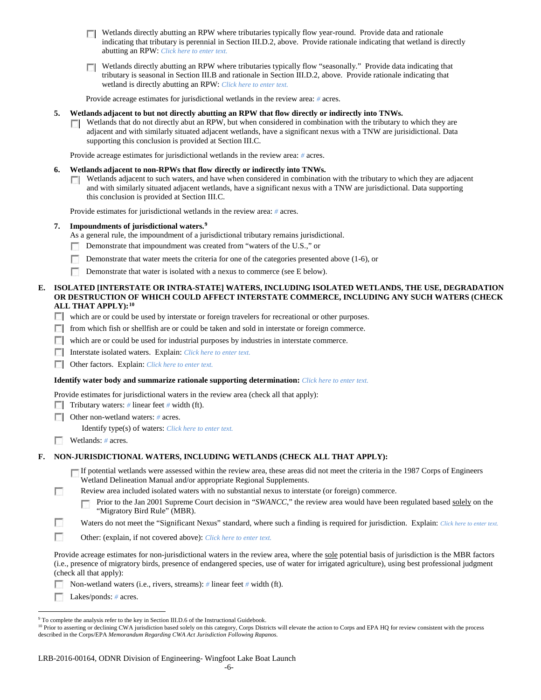- $\Box$  Wetlands directly abutting an RPW where tributaries typically flow year-round. Provide data and rationale indicating that tributary is perennial in Section III.D.2, above. Provide rationale indicating that wetland is directly abutting an RPW: *Click here to enter text.*
- Wetlands directly abutting an RPW where tributaries typically flow "seasonally." Provide data indicating that tributary is seasonal in Section III.B and rationale in Section III.D.2, above. Provide rationale indicating that wetland is directly abutting an RPW: *Click here to enter text.*

Provide acreage estimates for jurisdictional wetlands in the review area: *#* acres.

#### **5. Wetlands adjacent to but not directly abutting an RPW that flow directly or indirectly into TNWs.**

 $\Box$  Wetlands that do not directly abut an RPW, but when considered in combination with the tributary to which they are adjacent and with similarly situated adjacent wetlands, have a significant nexus with a TNW are jurisidictional. Data supporting this conclusion is provided at Section III.C.

Provide acreage estimates for jurisdictional wetlands in the review area: *#* acres.

#### **6. Wetlands adjacent to non-RPWs that flow directly or indirectly into TNWs.**

 $\Box$  Wetlands adjacent to such waters, and have when considered in combination with the tributary to which they are adjacent and with similarly situated adjacent wetlands, have a significant nexus with a TNW are jurisdictional. Data supporting this conclusion is provided at Section III.C.

Provide estimates for jurisdictional wetlands in the review area: *#* acres.

### **7. Impoundments of jurisdictional waters. [9](#page-5-0)**

As a general rule, the impoundment of a jurisdictional tributary remains jurisdictional.

- Demonstrate that impoundment was created from "waters of the U.S.," or
- $\sim$ Demonstrate that water meets the criteria for one of the categories presented above (1-6), or
- **Demonstrate that water is isolated with a nexus to commerce (see E below).**

### **E. ISOLATED [INTERSTATE OR INTRA-STATE] WATERS, INCLUDING ISOLATED WETLANDS, THE USE, DEGRADATION OR DESTRUCTION OF WHICH COULD AFFECT INTERSTATE COMMERCE, INCLUDING ANY SUCH WATERS (CHECK ALL THAT APPLY):[10](#page-5-1)**

- which are or could be used by interstate or foreign travelers for recreational or other purposes.
- $\Box$  from which fish or shellfish are or could be taken and sold in interstate or foreign commerce.
- which are or could be used for industrial purposes by industries in interstate commerce.
- Interstate isolated waters.Explain: *Click here to enter text.*
- Other factors.Explain: *Click here to enter text.*

#### **Identify water body and summarize rationale supporting determination:** *Click here to enter text.*

Provide estimates for jurisdictional waters in the review area (check all that apply):

**Tributary waters:** # linear feet # width (ft).

Other non-wetland waters: *#* acres.

Identify type(s) of waters: *Click here to enter text.*

Wetlands: # acres.

г

### **F. NON-JURISDICTIONAL WATERS, INCLUDING WETLANDS (CHECK ALL THAT APPLY):**

- If potential wetlands were assessed within the review area, these areas did not meet the criteria in the 1987 Corps of Engineers Wetland Delineation Manual and/or appropriate Regional Supplements.
- Review area included isolated waters with no substantial nexus to interstate (or foreign) commerce.

Prior to the Jan 2001 Supreme Court decision in "*SWANCC*," the review area would have been regulated based solely on the п "Migratory Bird Rule" (MBR).

- г Waters do not meet the "Significant Nexus" standard, where such a finding is required for jurisdiction. Explain: *Click here to enter text.*
- П Other: (explain, if not covered above): *Click here to enter text.*

Provide acreage estimates for non-jurisdictional waters in the review area, where the sole potential basis of jurisdiction is the MBR factors (i.e., presence of migratory birds, presence of endangered species, use of water for irrigated agriculture), using best professional judgment (check all that apply):

Non-wetland waters (i.e., rivers, streams): *#* linear feet *#* width (ft).

m Lakes/ponds: *#* acres.

<span id="page-5-0"></span><sup>&</sup>lt;sup>9</sup> To complete the analysis refer to the key in Section III.D.6 of the Instructional Guidebook.

<span id="page-5-1"></span><sup>&</sup>lt;sup>10</sup> Prior to asserting or declining CWA jurisdiction based solely on this category, Corps Districts will elevate the action to Corps and EPA HQ for review consistent with the process described in the Corps/EPA *Memorandum Regarding CWA Act Jurisdiction Following Rapanos.*